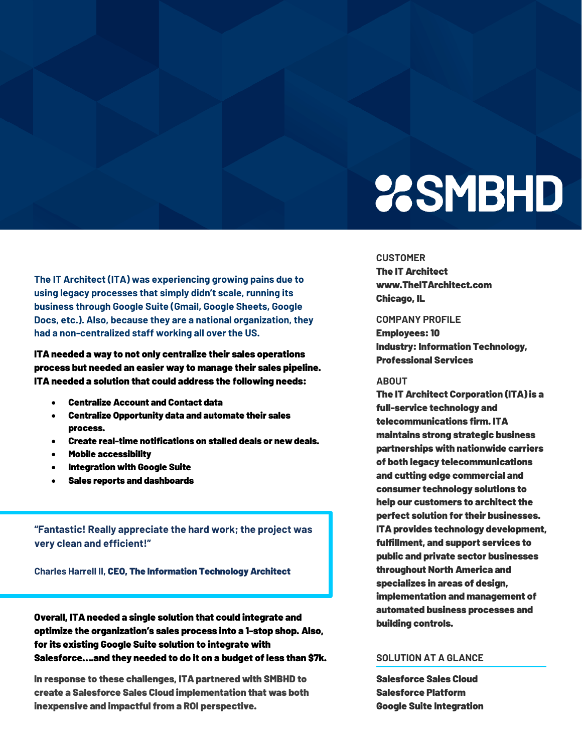# **23SMBHD**

#### **CUSTOMER**

The IT Architect ww[w.TheITArchitect.com](https://nationaldecisionsupport.com/) Chicago, IL

#### **COMPANY PROFILE**

Employees: 10 **Industry: Information Technology,** Professional Services

#### **ABOUT**

The IT Architect Corporation (ITA) is a full-service technology and telecommunications firm. ITA maintains strong strategic business partnerships with nationwide carriers of both legacy telecommunications and cutting edge commercial and consumer technology solutions to help our customers to architect the perfect solution for their businesses. ITA provides technology development, fulfillment, and support services to public and private sector businesses throughout North America and specializes in areas of design, implementation and management of automated business processes and building controls.

### **SOLUTION AT A GLANCE**

Salesforce Sales Cloud Salesforce Platform Google Suite Integration

**The IT Architect (ITA) was experiencing growing pains due to using legacy processes that simply didn't scale, running its business through Google Suite (Gmail, Google Sheets, Google Docs, etc.). Also, because they are a national organization, they had a non-centralized staff working all over the US.**

ITA needed a way to not only centralize their sales operations process but needed an easier way to manage their sales pipeline. ITA needed a solution that could address the following needs:

- Centralize Account and Contact data
- Centralize Opportunity data and automate their sales process.
- Create real-time notifications on stalled deals or new deals.
- Mobile accessibility
- Integration with Google Suite
- Sales reports and dashboards

**"Fantastic! Really appreciate the hard work; the project was very clean and efficient!"** 

**Charles Harrell II,** CEO, The Information Technology Architect

Overall, ITA needed a single solution that could integrate and optimize the organization's sales process into a 1-stop shop. Also, for its existing Google Suite solution to integrate with Salesforce….and they needed to do it on a budget of less than \$7k.

In response to these challenges, ITA partnered with SMBHD to create a Salesforce Sales Cloud implementation that was both inexpensive and impactful from a ROI perspective.